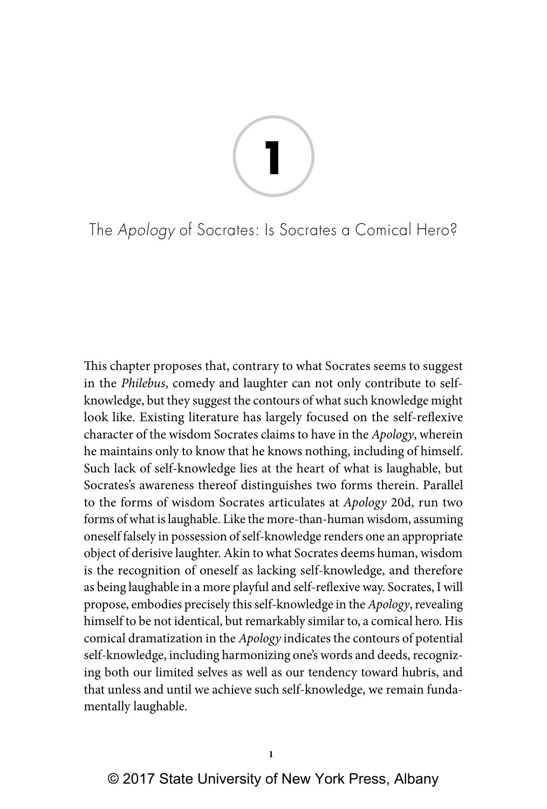# **1**

The Apology of Socrates: Is Socrates a Comical Hero?

This chapter proposes that, contrary to what Socrates seems to suggest in the *Philebus*, comedy and laughter can not only contribute to selfknowledge, but they suggest the contours of what such knowledge might look like. Existing literature has largely focused on the self-reflexive character of the wisdom Socrates claims to have in the *Apology*, wherein he maintains only to know that he knows nothing, including of himself. Such lack of self-knowledge lies at the heart of what is laughable, but Socrates's awareness thereof distinguishes two forms therein. Parallel to the forms of wisdom Socrates articulates at *Apology* 20d, run two forms of what is laughable. Like the more-than-human wisdom, assuming oneself falsely in possession of self-knowledge renders one an appropriate object of derisive laughter. Akin to what Socrates deems human, wisdom is the recognition of oneself as lacking self-knowledge, and therefore as being laughable in a more playful and self-reflexive way. Socrates, I will propose, embodies precisely this self-knowledge in the *Apology*, revealing himself to be not identical, but remarkably similar to, a comical hero. His comical dramatization in the *Apology* indicates the contours of potential self-knowledge, including harmonizing one's words and deeds, recognizing both our limited selves as well as our tendency toward hubris, and that unless and until we achieve such self-knowledge, we remain fundamentally laughable.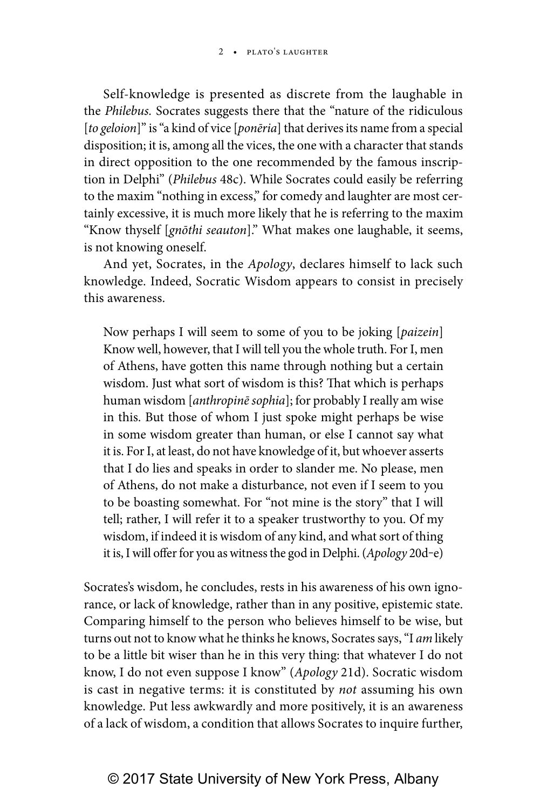Self-knowledge is presented as discrete from the laughable in the *Philebus.* Socrates suggests there that the "nature of the ridiculous [*to geloion*]" is "a kind of vice [*ponēria*] that derives its name from a special disposition; it is, among all the vices, the one with a character that stands in direct opposition to the one recommended by the famous inscription in Delphi" (*Philebus* 48c). While Socrates could easily be referring to the maxim "nothing in excess," for comedy and laughter are most certainly excessive, it is much more likely that he is referring to the maxim "Know thyself [*gnōthi seauton*]." What makes one laughable, it seems, is not knowing oneself.

And yet, Socrates, in the *Apology*, declares himself to lack such knowledge. Indeed, Socratic Wisdom appears to consist in precisely this awareness.

Now perhaps I will seem to some of you to be joking [*paizein*] Know well, however, that I will tell you the whole truth. For I, men of Athens, have gotten this name through nothing but a certain wisdom. Just what sort of wisdom is this? That which is perhaps human wisdom [*anthropinē sophia*]; for probably I really am wise in this. But those of whom I just spoke might perhaps be wise in some wisdom greater than human, or else I cannot say what it is. For I, at least, do not have knowledge of it, but whoever asserts that I do lies and speaks in order to slander me. No please, men of Athens, do not make a disturbance, not even if I seem to you to be boasting somewhat. For "not mine is the story" that I will tell; rather, I will refer it to a speaker trustworthy to you. Of my wisdom, if indeed it is wisdom of any kind, and what sort of thing it is, I will offer for you as witness the god in Delphi. (*Apology* 20d‒e)

Socrates's wisdom, he concludes, rests in his awareness of his own ignorance, or lack of knowledge, rather than in any positive, epistemic state. Comparing himself to the person who believes himself to be wise, but turns out not to know what he thinks he knows, Socrates says, "I *am* likely to be a little bit wiser than he in this very thing: that whatever I do not know, I do not even suppose I know" (*Apology* 21d). Socratic wisdom is cast in negative terms: it is constituted by *not* assuming his own knowledge. Put less awkwardly and more positively, it is an awareness of a lack of wisdom, a condition that allows Socrates to inquire further,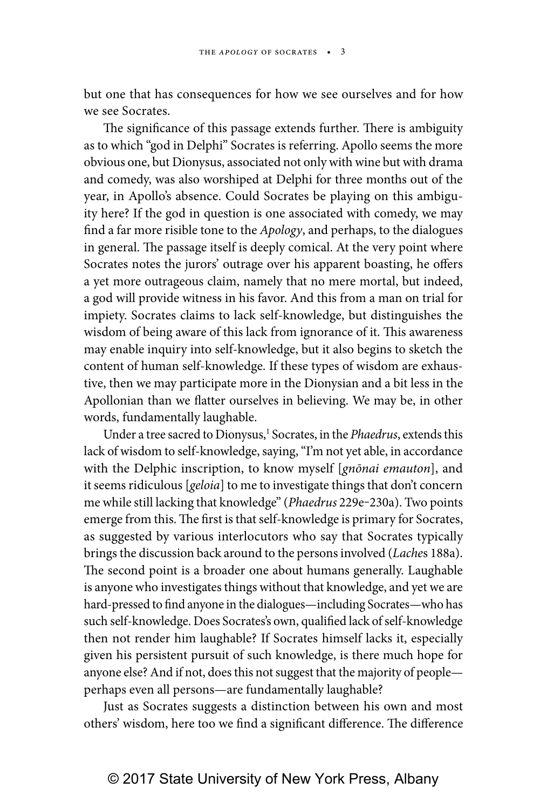but one that has consequences for how we see ourselves and for how we see Socrates.

The significance of this passage extends further. There is ambiguity as to which "god in Delphi" Socrates is referring. Apollo seems the more obvious one, but Dionysus, associated not only with wine but with drama and comedy, was also worshiped at Delphi for three months out of the year, in Apollo's absence. Could Socrates be playing on this ambiguity here? If the god in question is one associated with comedy, we may find a far more risible tone to the *Apology*, and perhaps, to the dialogues in general. The passage itself is deeply comical. At the very point where Socrates notes the jurors' outrage over his apparent boasting, he offers a yet more outrageous claim, namely that no mere mortal, but indeed, a god will provide witness in his favor. And this from a man on trial for impiety. Socrates claims to lack self-knowledge, but distinguishes the wisdom of being aware of this lack from ignorance of it. This awareness may enable inquiry into self-knowledge, but it also begins to sketch the content of human self-knowledge. If these types of wisdom are exhaustive, then we may participate more in the Dionysian and a bit less in the Apollonian than we flatter ourselves in believing. We may be, in other words, fundamentally laughable.

Under a tree sacred to Dionysus,<sup>1</sup> Socrates, in the *Phaedrus*, extends this lack of wisdom to self-knowledge, saying, "I'm not yet able, in accordance with the Delphic inscription, to know myself [*gnōnai emauton*], and it seems ridiculous [*geloia*] to me to investigate things that don't concern me while still lacking that knowledge" (*Phaedrus* 229e-230a). Two points emerge from this. The first is that self-knowledge is primary for Socrates, as suggested by various interlocutors who say that Socrates typically brings the discussion back around to the persons involved (*Lache*s 188a). The second point is a broader one about humans generally. Laughable is anyone who investigates things without that knowledge, and yet we are hard-pressed to find anyone in the dialogues—including Socrates—who has such self-knowledge. Does Socrates's own, qualified lack of self-knowledge then not render him laughable? If Socrates himself lacks it, especially given his persistent pursuit of such knowledge, is there much hope for anyone else? And if not, does this not suggest that the majority of people perhaps even all persons—are fundamentally laughable?

Just as Socrates suggests a distinction between his own and most others' wisdom, here too we find a significant difference. The difference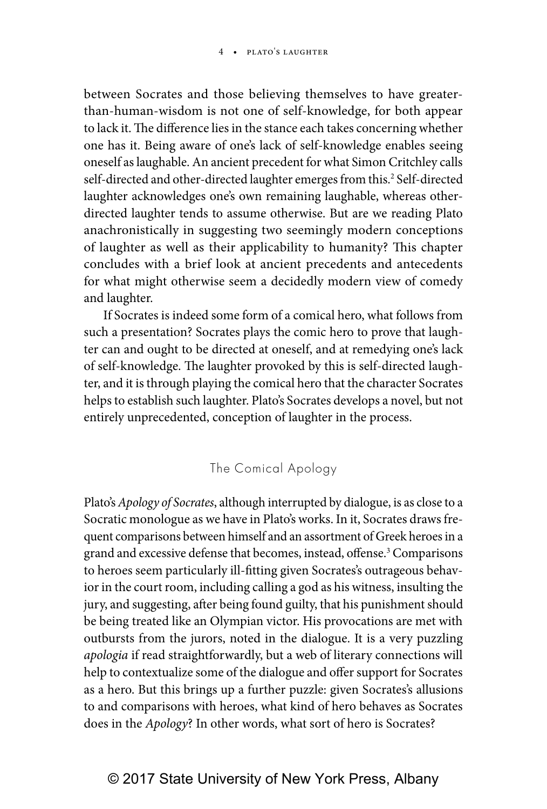between Socrates and those believing themselves to have greaterthan-human-wisdom is not one of self-knowledge, for both appear to lack it. The difference lies in the stance each takes concerning whether one has it. Being aware of one's lack of self-knowledge enables seeing oneself as laughable. An ancient precedent for what Simon Critchley calls self-directed and other-directed laughter emerges from this.<sup>2</sup> Self-directed laughter acknowledges one's own remaining laughable, whereas otherdirected laughter tends to assume otherwise. But are we reading Plato anachronistically in suggesting two seemingly modern conceptions of laughter as well as their applicability to humanity? This chapter concludes with a brief look at ancient precedents and antecedents for what might otherwise seem a decidedly modern view of comedy and laughter.

If Socrates is indeed some form of a comical hero, what follows from such a presentation? Socrates plays the comic hero to prove that laughter can and ought to be directed at oneself, and at remedying one's lack of self-knowledge. The laughter provoked by this is self-directed laughter, and it is through playing the comical hero that the character Socrates helps to establish such laughter. Plato's Socrates develops a novel, but not entirely unprecedented, conception of laughter in the process.

The Comical Apology

Plato's *Apology of Socrates*, although interrupted by dialogue, is as close to a Socratic monologue as we have in Plato's works. In it, Socrates draws frequent comparisons between himself and an assortment of Greek heroes in a grand and excessive defense that becomes, instead, offense.<sup>3</sup> Comparisons to heroes seem particularly ill-fitting given Socrates's outrageous behavior in the court room, including calling a god as his witness, insulting the jury, and suggesting, after being found guilty, that his punishment should be being treated like an Olympian victor. His provocations are met with outbursts from the jurors, noted in the dialogue. It is a very puzzling *apologia* if read straightforwardly, but a web of literary connections will help to contextualize some of the dialogue and offer support for Socrates as a hero. But this brings up a further puzzle: given Socrates's allusions to and comparisons with heroes, what kind of hero behaves as Socrates does in the *Apology*? In other words, what sort of hero is Socrates?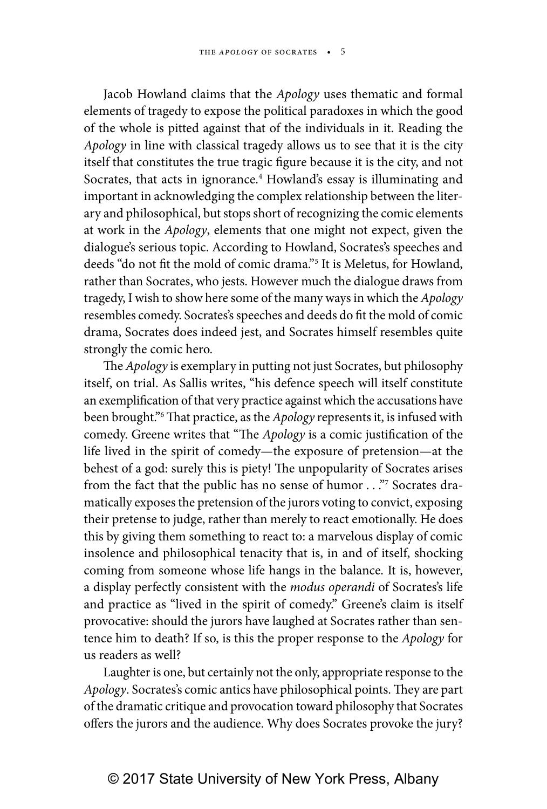Jacob Howland claims that the *Apology* uses thematic and formal elements of tragedy to expose the political paradoxes in which the good of the whole is pitted against that of the individuals in it. Reading the *Apology* in line with classical tragedy allows us to see that it is the city itself that constitutes the true tragic figure because it is the city, and not Socrates, that acts in ignorance.<sup>4</sup> Howland's essay is illuminating and important in acknowledging the complex relationship between the literary and philosophical, but stops short of recognizing the comic elements at work in the *Apology*, elements that one might not expect, given the dialogue's serious topic. According to Howland, Socrates's speeches and deeds "do not fit the mold of comic drama."5 It is Meletus, for Howland, rather than Socrates, who jests. However much the dialogue draws from tragedy, I wish to show here some of the many ways in which the *Apology* resembles comedy. Socrates's speeches and deeds do fit the mold of comic drama, Socrates does indeed jest, and Socrates himself resembles quite strongly the comic hero.

The *Apology* is exemplary in putting not just Socrates, but philosophy itself, on trial. As Sallis writes, "his defence speech will itself constitute an exemplification of that very practice against which the accusations have been brought."6 That practice, as the *Apology* represents it, is infused with comedy. Greene writes that "The *Apology* is a comic justification of the life lived in the spirit of comedy—the exposure of pretension—at the behest of a god: surely this is piety! The unpopularity of Socrates arises from the fact that the public has no sense of humor . . ."7 Socrates dramatically exposes the pretension of the jurors voting to convict, exposing their pretense to judge, rather than merely to react emotionally. He does this by giving them something to react to: a marvelous display of comic insolence and philosophical tenacity that is, in and of itself, shocking coming from someone whose life hangs in the balance. It is, however, a display perfectly consistent with the *modus operandi* of Socrates's life and practice as "lived in the spirit of comedy." Greene's claim is itself provocative: should the jurors have laughed at Socrates rather than sentence him to death? If so, is this the proper response to the *Apology* for us readers as well?

Laughter is one, but certainly not the only, appropriate response to the *Apology*. Socrates's comic antics have philosophical points. They are part of the dramatic critique and provocation toward philosophy that Socrates offers the jurors and the audience. Why does Socrates provoke the jury?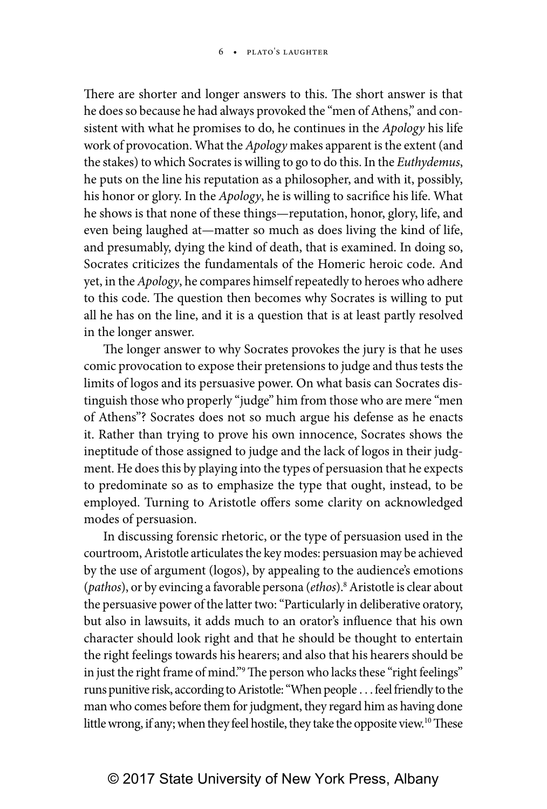There are shorter and longer answers to this. The short answer is that he does so because he had always provoked the "men of Athens," and consistent with what he promises to do, he continues in the *Apology* his life work of provocation. What the *Apology* makes apparent is the extent (and the stakes) to which Socrates is willing to go to do this. In the *Euthydemus*, he puts on the line his reputation as a philosopher, and with it, possibly, his honor or glory. In the *Apology*, he is willing to sacrifice his life. What he shows is that none of these things—reputation, honor, glory, life, and even being laughed at—matter so much as does living the kind of life, and presumably, dying the kind of death, that is examined. In doing so, Socrates criticizes the fundamentals of the Homeric heroic code. And yet, in the *Apology*, he compares himself repeatedly to heroes who adhere to this code. The question then becomes why Socrates is willing to put all he has on the line, and it is a question that is at least partly resolved in the longer answer.

The longer answer to why Socrates provokes the jury is that he uses comic provocation to expose their pretensions to judge and thus tests the limits of logos and its persuasive power. On what basis can Socrates distinguish those who properly "judge" him from those who are mere "men of Athens"? Socrates does not so much argue his defense as he enacts it. Rather than trying to prove his own innocence, Socrates shows the ineptitude of those assigned to judge and the lack of logos in their judgment. He does this by playing into the types of persuasion that he expects to predominate so as to emphasize the type that ought, instead, to be employed. Turning to Aristotle offers some clarity on acknowledged modes of persuasion.

In discussing forensic rhetoric, or the type of persuasion used in the courtroom, Aristotle articulates the key modes: persuasion may be achieved by the use of argument (logos), by appealing to the audience's emotions (*pathos*), or by evincing a favorable persona (*ethos*).8 Aristotle is clear about the persuasive power of the latter two: "Particularly in deliberative oratory, but also in lawsuits, it adds much to an orator's influence that his own character should look right and that he should be thought to entertain the right feelings towards his hearers; and also that his hearers should be in just the right frame of mind."9 The person who lacks these "right feelings" runs punitive risk, according to Aristotle: "When people . . . feel friendly to the man who comes before them for judgment, they regard him as having done little wrong, if any; when they feel hostile, they take the opposite view.<sup>10</sup> These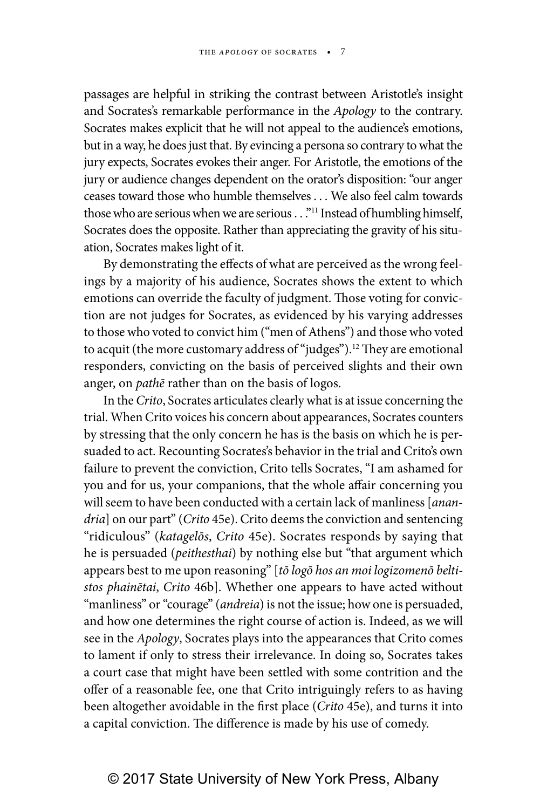passages are helpful in striking the contrast between Aristotle's insight and Socrates's remarkable performance in the *Apology* to the contrary. Socrates makes explicit that he will not appeal to the audience's emotions, but in a way, he does just that. By evincing a persona so contrary to what the jury expects, Socrates evokes their anger. For Aristotle, the emotions of the jury or audience changes dependent on the orator's disposition: "our anger ceases toward those who humble themselves . . . We also feel calm towards those who are serious when we are serious . . ."<sup>11</sup> Instead of humbling himself, Socrates does the opposite. Rather than appreciating the gravity of his situation, Socrates makes light of it.

By demonstrating the effects of what are perceived as the wrong feelings by a majority of his audience, Socrates shows the extent to which emotions can override the faculty of judgment. Those voting for conviction are not judges for Socrates, as evidenced by his varying addresses to those who voted to convict him ("men of Athens") and those who voted to acquit (the more customary address of "judges").<sup>12</sup> They are emotional responders, convicting on the basis of perceived slights and their own anger, on *pathē* rather than on the basis of logos.

In the *Crito*, Socrates articulates clearly what is at issue concerning the trial. When Crito voices his concern about appearances, Socrates counters by stressing that the only concern he has is the basis on which he is persuaded to act. Recounting Socrates's behavior in the trial and Crito's own failure to prevent the conviction, Crito tells Socrates, "I am ashamed for you and for us, your companions, that the whole affair concerning you will seem to have been conducted with a certain lack of manliness [*anandria*] on our part" (*Crito* 45e). Crito deems the conviction and sentencing "ridiculous" (*katagelōs*, *Crito* 45e). Socrates responds by saying that he is persuaded (*peithesthai*) by nothing else but "that argument which appears best to me upon reasoning" [*tō logō hos an moi logizomenō beltistos phainētai*, *Crito* 46b]. Whether one appears to have acted without "manliness" or "courage" (*andreia*) is not the issue; how one is persuaded, and how one determines the right course of action is. Indeed, as we will see in the *Apology*, Socrates plays into the appearances that Crito comes to lament if only to stress their irrelevance. In doing so, Socrates takes a court case that might have been settled with some contrition and the offer of a reasonable fee, one that Crito intriguingly refers to as having been altogether avoidable in the first place (*Crito* 45e), and turns it into a capital conviction. The difference is made by his use of comedy.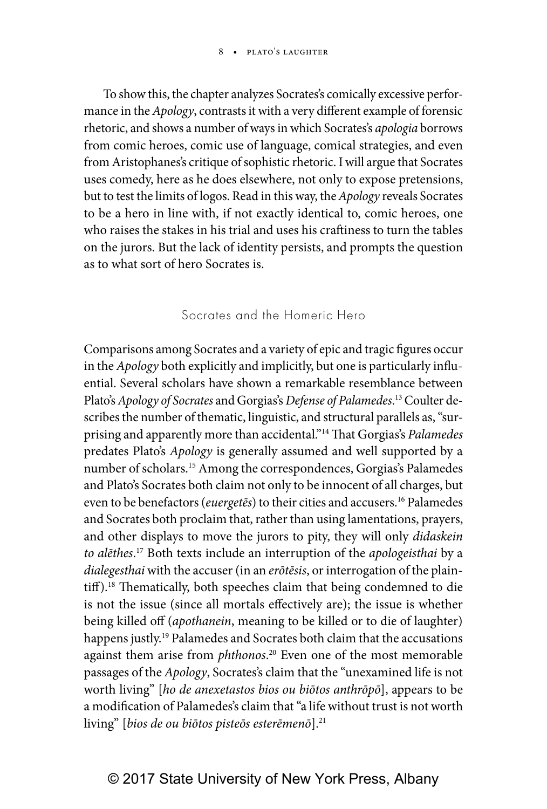To show this, the chapter analyzes Socrates's comically excessive performance in the *Apology*, contrasts it with a very different example of forensic rhetoric, and shows a number of ways in which Socrates's *apologia* borrows from comic heroes, comic use of language, comical strategies, and even from Aristophanes's critique of sophistic rhetoric. I will argue that Socrates uses comedy, here as he does elsewhere, not only to expose pretensions, but to test the limits of logos. Read in this way, the *Apology* reveals Socrates to be a hero in line with, if not exactly identical to, comic heroes, one who raises the stakes in his trial and uses his craftiness to turn the tables on the jurors. But the lack of identity persists, and prompts the question as to what sort of hero Socrates is.

### Socrates and the Homeric Hero

Comparisons among Socrates and a variety of epic and tragic figures occur in the *Apology* both explicitly and implicitly, but one is particularly influential. Several scholars have shown a remarkable resemblance between Plato's *Apology of Socrates* and Gorgias's *Defense of Palamedes*. 13 Coulter describes the number of thematic, linguistic, and structural parallels as, "surprising and apparently more than accidental."14 That Gorgias's *Palamedes* predates Plato's *Apology* is generally assumed and well supported by a number of scholars.15 Among the correspondences, Gorgias's Palamedes and Plato's Socrates both claim not only to be innocent of all charges, but even to be benefactors (*euergetēs*) to their cities and accusers.16 Palamedes and Socrates both proclaim that, rather than using lamentations, prayers, and other displays to move the jurors to pity, they will only *didaskein to alēthes*. 17 Both texts include an interruption of the *apologeisthai* by a *dialegesthai* with the accuser (in an *erōtēsis*, or interrogation of the plaintiff).<sup>18</sup> Thematically, both speeches claim that being condemned to die is not the issue (since all mortals effectively are); the issue is whether being killed off (*apothanein*, meaning to be killed or to die of laughter) happens justly.<sup>19</sup> Palamedes and Socrates both claim that the accusations against them arise from *phthonos*. 20 Even one of the most memorable passages of the *Apology*, Socrates's claim that the "unexamined life is not worth living" [*ho de anexetastos bios ou biōtos anthrōpō*], appears to be a modification of Palamedes's claim that "a life without trust is not worth living" [bios de ou biōtos pisteōs esterēmenō].<sup>21</sup>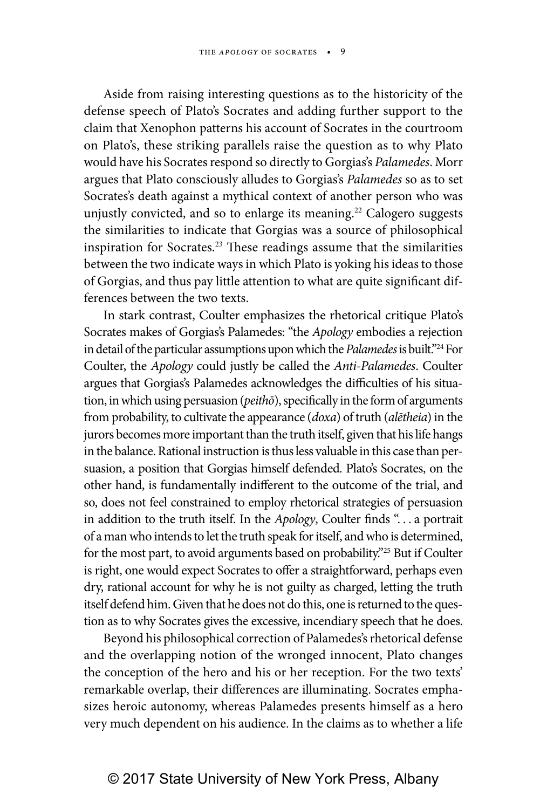Aside from raising interesting questions as to the historicity of the defense speech of Plato's Socrates and adding further support to the claim that Xenophon patterns his account of Socrates in the courtroom on Plato's, these striking parallels raise the question as to why Plato would have his Socrates respond so directly to Gorgias's *Palamedes*. Morr argues that Plato consciously alludes to Gorgias's *Palamedes* so as to set Socrates's death against a mythical context of another person who was unjustly convicted, and so to enlarge its meaning.<sup>22</sup> Calogero suggests the similarities to indicate that Gorgias was a source of philosophical inspiration for Socrates.<sup>23</sup> These readings assume that the similarities between the two indicate ways in which Plato is yoking his ideas to those of Gorgias, and thus pay little attention to what are quite significant differences between the two texts.

In stark contrast, Coulter emphasizes the rhetorical critique Plato's Socrates makes of Gorgias's Palamedes: "the *Apology* embodies a rejection in detail of the particular assumptions upon which the *Palamedes* is built."24 For Coulter, the *Apology* could justly be called the *Anti-Palamedes*. Coulter argues that Gorgias's Palamedes acknowledges the difficulties of his situation, in which using persuasion (*peithō*), specifically in the form of arguments from probability, to cultivate the appearance (*doxa*) of truth (*alētheia*) in the jurors becomes more important than the truth itself, given that his life hangs in the balance. Rational instruction is thus less valuable in this case than persuasion, a position that Gorgias himself defended. Plato's Socrates, on the other hand, is fundamentally indifferent to the outcome of the trial, and so, does not feel constrained to employ rhetorical strategies of persuasion in addition to the truth itself. In the *Apology*, Coulter finds ". . . a portrait of a man who intends to let the truth speak for itself, and who is determined, for the most part, to avoid arguments based on probability."25 But if Coulter is right, one would expect Socrates to offer a straightforward, perhaps even dry, rational account for why he is not guilty as charged, letting the truth itself defend him. Given that he does not do this, one is returned to the question as to why Socrates gives the excessive, incendiary speech that he does.

Beyond his philosophical correction of Palamedes's rhetorical defense and the overlapping notion of the wronged innocent, Plato changes the conception of the hero and his or her reception. For the two texts' remarkable overlap, their differences are illuminating. Socrates emphasizes heroic autonomy, whereas Palamedes presents himself as a hero very much dependent on his audience. In the claims as to whether a life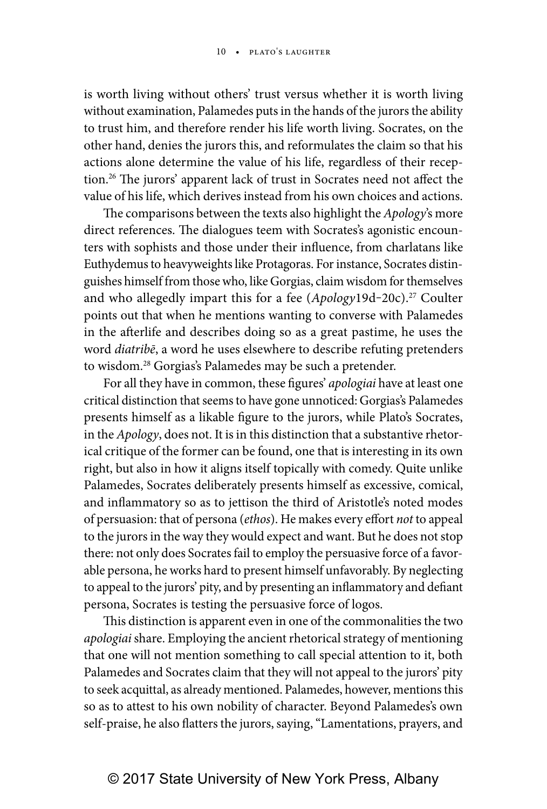is worth living without others' trust versus whether it is worth living without examination, Palamedes puts in the hands of the jurors the ability to trust him, and therefore render his life worth living. Socrates, on the other hand, denies the jurors this, and reformulates the claim so that his actions alone determine the value of his life, regardless of their reception.26 The jurors' apparent lack of trust in Socrates need not affect the value of his life, which derives instead from his own choices and actions.

The comparisons between the texts also highlight the *Apology*'s more direct references. The dialogues teem with Socrates's agonistic encounters with sophists and those under their influence, from charlatans like Euthydemus to heavyweights like Protagoras. For instance, Socrates distinguishes himself from those who, like Gorgias, claim wisdom for themselves and who allegedly impart this for a fee (*Apology*19d-20c).<sup>27</sup> Coulter points out that when he mentions wanting to converse with Palamedes in the afterlife and describes doing so as a great pastime, he uses the word *diatribē*, a word he uses elsewhere to describe refuting pretenders to wisdom.28 Gorgias's Palamedes may be such a pretender.

For all they have in common, these figures' *apologiai* have at least one critical distinction that seems to have gone unnoticed: Gorgias's Palamedes presents himself as a likable figure to the jurors, while Plato's Socrates, in the *Apology*, does not. It is in this distinction that a substantive rhetorical critique of the former can be found, one that is interesting in its own right, but also in how it aligns itself topically with comedy. Quite unlike Palamedes, Socrates deliberately presents himself as excessive, comical, and inflammatory so as to jettison the third of Aristotle's noted modes of persuasion: that of persona (*ethos*). He makes every effort *not* to appeal to the jurors in the way they would expect and want. But he does not stop there: not only does Socrates fail to employ the persuasive force of a favorable persona, he works hard to present himself unfavorably. By neglecting to appeal to the jurors' pity, and by presenting an inflammatory and defiant persona, Socrates is testing the persuasive force of logos.

This distinction is apparent even in one of the commonalities the two *apologiai* share. Employing the ancient rhetorical strategy of mentioning that one will not mention something to call special attention to it, both Palamedes and Socrates claim that they will not appeal to the jurors' pity to seek acquittal, as already mentioned. Palamedes, however, mentions this so as to attest to his own nobility of character. Beyond Palamedes's own self-praise, he also flatters the jurors, saying, "Lamentations, prayers, and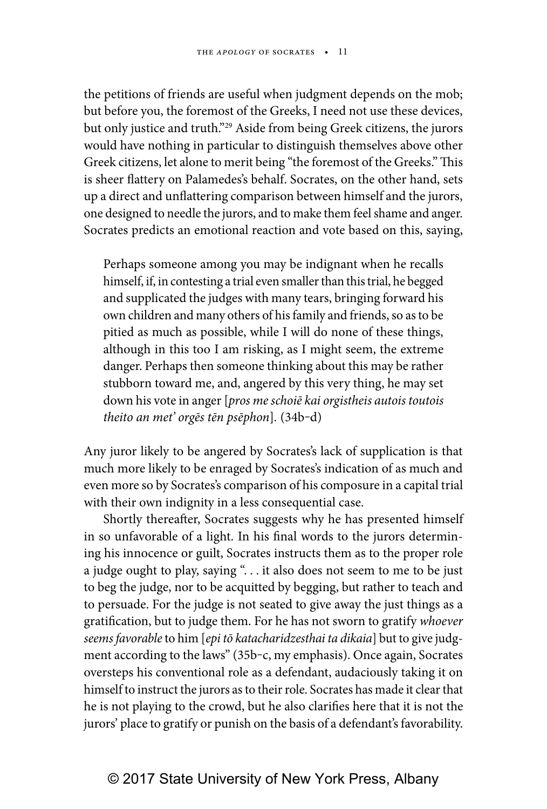the petitions of friends are useful when judgment depends on the mob; but before you, the foremost of the Greeks, I need not use these devices, but only justice and truth."<sup>29</sup> Aside from being Greek citizens, the jurors would have nothing in particular to distinguish themselves above other Greek citizens, let alone to merit being "the foremost of the Greeks." This is sheer flattery on Palamedes's behalf. Socrates, on the other hand, sets up a direct and unflattering comparison between himself and the jurors, one designed to needle the jurors, and to make them feel shame and anger. Socrates predicts an emotional reaction and vote based on this, saying,

Perhaps someone among you may be indignant when he recalls himself, if, in contesting a trial even smaller than this trial, he begged and supplicated the judges with many tears, bringing forward his own children and many others of his family and friends, so as to be pitied as much as possible, while I will do none of these things, although in this too I am risking, as I might seem, the extreme danger. Perhaps then someone thinking about this may be rather stubborn toward me, and, angered by this very thing, he may set down his vote in anger [*pros me schoiē kai orgistheis autois toutois theito an met' orgēs tēn psēphon*]*.* (34b‒d)

Any juror likely to be angered by Socrates's lack of supplication is that much more likely to be enraged by Socrates's indication of as much and even more so by Socrates's comparison of his composure in a capital trial with their own indignity in a less consequential case.

Shortly thereafter, Socrates suggests why he has presented himself in so unfavorable of a light. In his final words to the jurors determining his innocence or guilt, Socrates instructs them as to the proper role a judge ought to play, saying ". . . it also does not seem to me to be just to beg the judge, nor to be acquitted by begging, but rather to teach and to persuade. For the judge is not seated to give away the just things as a gratification, but to judge them. For he has not sworn to gratify *whoever seems favorable* to him [*epi tō katacharidzesthai ta dikaia*] but to give judgment according to the laws" (35b-c, my emphasis). Once again, Socrates oversteps his conventional role as a defendant, audaciously taking it on himself to instruct the jurors as to their role. Socrates has made it clear that he is not playing to the crowd, but he also clarifies here that it is not the jurors' place to gratify or punish on the basis of a defendant's favorability.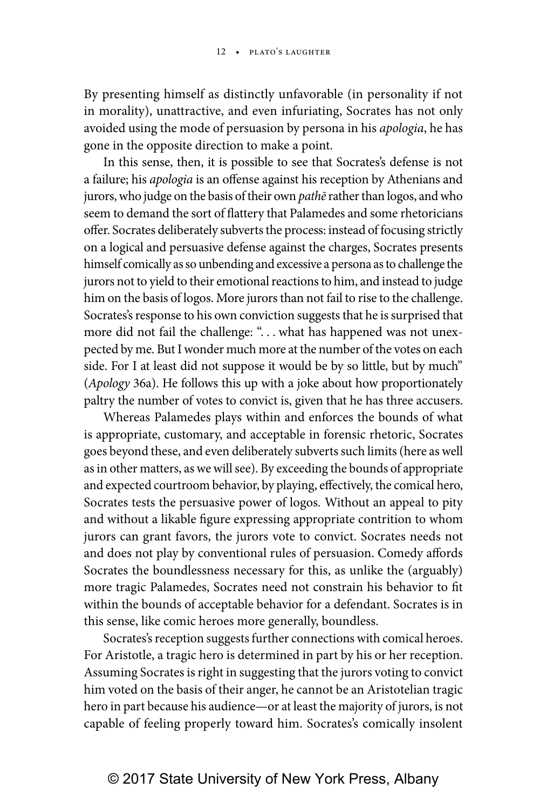By presenting himself as distinctly unfavorable (in personality if not in morality), unattractive, and even infuriating, Socrates has not only avoided using the mode of persuasion by persona in his *apologia*, he has gone in the opposite direction to make a point.

In this sense, then, it is possible to see that Socrates's defense is not a failure; his *apologia* is an offense against his reception by Athenians and jurors, who judge on the basis of their own *pathē* rather than logos, and who seem to demand the sort of flattery that Palamedes and some rhetoricians offer. Socrates deliberately subverts the process: instead of focusing strictly on a logical and persuasive defense against the charges, Socrates presents himself comically as so unbending and excessive a persona as to challenge the jurors not to yield to their emotional reactions to him, and instead to judge him on the basis of logos. More jurors than not fail to rise to the challenge. Socrates's response to his own conviction suggests that he is surprised that more did not fail the challenge: "... what has happened was not unexpected by me. But I wonder much more at the number of the votes on each side. For I at least did not suppose it would be by so little, but by much" (*Apology* 36a). He follows this up with a joke about how proportionately paltry the number of votes to convict is, given that he has three accusers.

Whereas Palamedes plays within and enforces the bounds of what is appropriate, customary, and acceptable in forensic rhetoric, Socrates goes beyond these, and even deliberately subverts such limits (here as well as in other matters, as we will see). By exceeding the bounds of appropriate and expected courtroom behavior, by playing, effectively, the comical hero, Socrates tests the persuasive power of logos*.* Without an appeal to pity and without a likable figure expressing appropriate contrition to whom jurors can grant favors, the jurors vote to convict. Socrates needs not and does not play by conventional rules of persuasion. Comedy affords Socrates the boundlessness necessary for this, as unlike the (arguably) more tragic Palamedes, Socrates need not constrain his behavior to fit within the bounds of acceptable behavior for a defendant. Socrates is in this sense, like comic heroes more generally, boundless.

Socrates's reception suggests further connections with comical heroes. For Aristotle, a tragic hero is determined in part by his or her reception. Assuming Socrates is right in suggesting that the jurors voting to convict him voted on the basis of their anger, he cannot be an Aristotelian tragic hero in part because his audience—or at least the majority of jurors, is not capable of feeling properly toward him. Socrates's comically insolent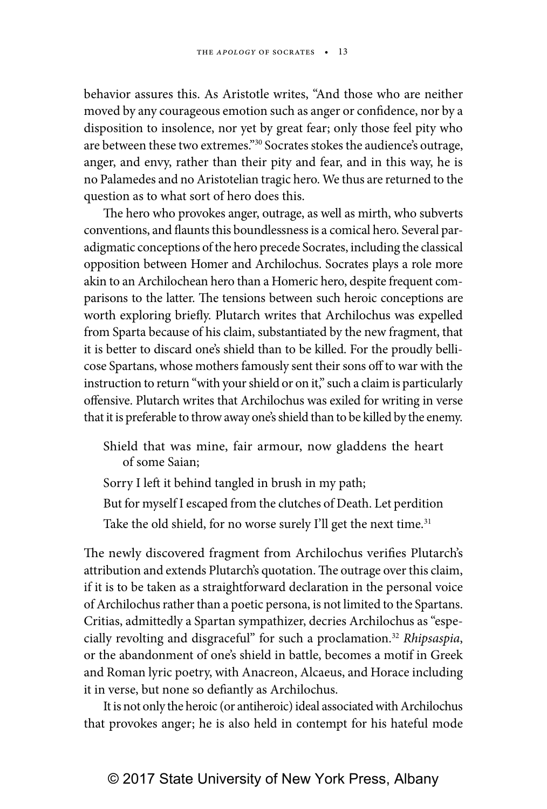behavior assures this. As Aristotle writes, "And those who are neither moved by any courageous emotion such as anger or confidence, nor by a disposition to insolence, nor yet by great fear; only those feel pity who are between these two extremes."30 Socrates stokes the audience's outrage, anger, and envy, rather than their pity and fear, and in this way, he is no Palamedes and no Aristotelian tragic hero. We thus are returned to the question as to what sort of hero does this.

The hero who provokes anger, outrage, as well as mirth, who subverts conventions, and flaunts this boundlessness is a comical hero. Several paradigmatic conceptions of the hero precede Socrates, including the classical opposition between Homer and Archilochus. Socrates plays a role more akin to an Archilochean hero than a Homeric hero, despite frequent comparisons to the latter. The tensions between such heroic conceptions are worth exploring briefly. Plutarch writes that Archilochus was expelled from Sparta because of his claim, substantiated by the new fragment, that it is better to discard one's shield than to be killed. For the proudly bellicose Spartans, whose mothers famously sent their sons off to war with the instruction to return "with your shield or on it," such a claim is particularly offensive. Plutarch writes that Archilochus was exiled for writing in verse that it is preferable to throw away one's shield than to be killed by the enemy.

- Shield that was mine, fair armour, now gladdens the heart of some Saian;
- Sorry I left it behind tangled in brush in my path;
- But for myself I escaped from the clutches of Death. Let perdition
- Take the old shield, for no worse surely I'll get the next time.<sup>31</sup>

The newly discovered fragment from Archilochus verifies Plutarch's attribution and extends Plutarch's quotation. The outrage over this claim, if it is to be taken as a straightforward declaration in the personal voice of Archilochus rather than a poetic persona, is not limited to the Spartans. Critias, admittedly a Spartan sympathizer, decries Archilochus as "especially revolting and disgraceful" for such a proclamation.32 *Rhipsaspia*, or the abandonment of one's shield in battle, becomes a motif in Greek and Roman lyric poetry, with Anacreon, Alcaeus, and Horace including it in verse, but none so defiantly as Archilochus.

It is not only the heroic (or antiheroic) ideal associated with Archilochus that provokes anger; he is also held in contempt for his hateful mode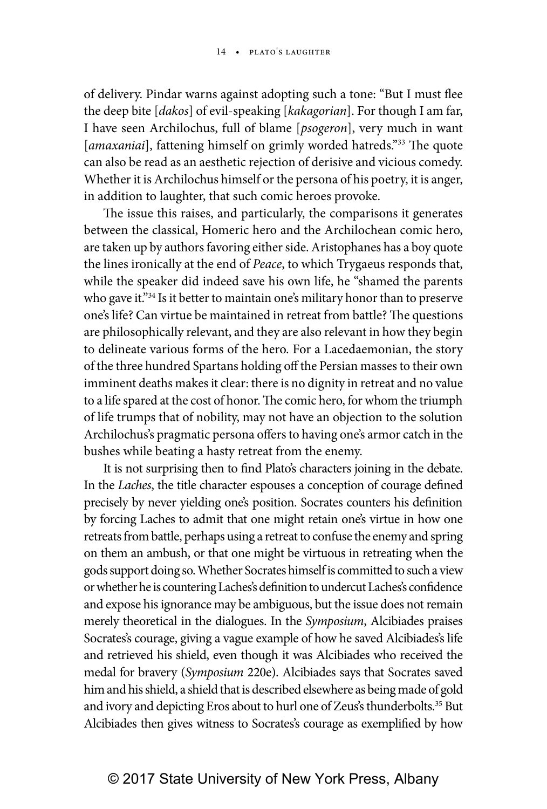of delivery. Pindar warns against adopting such a tone: "But I must flee the deep bite [*dakos*] of evil-speaking [*kakagorian*]. For though I am far, I have seen Archilochus, full of blame [*psogeron*], very much in want [amaxaniai], fattening himself on grimly worded hatreds."<sup>33</sup> The quote can also be read as an aesthetic rejection of derisive and vicious comedy. Whether it is Archilochus himself or the persona of his poetry, it is anger, in addition to laughter, that such comic heroes provoke.

The issue this raises, and particularly, the comparisons it generates between the classical, Homeric hero and the Archilochean comic hero, are taken up by authors favoring either side. Aristophanes has a boy quote the lines ironically at the end of *Peace*, to which Trygaeus responds that, while the speaker did indeed save his own life, he "shamed the parents who gave it."<sup>34</sup> Is it better to maintain one's military honor than to preserve one's life? Can virtue be maintained in retreat from battle? The questions are philosophically relevant, and they are also relevant in how they begin to delineate various forms of the hero. For a Lacedaemonian, the story of the three hundred Spartans holding off the Persian masses to their own imminent deaths makes it clear: there is no dignity in retreat and no value to a life spared at the cost of honor. The comic hero, for whom the triumph of life trumps that of nobility, may not have an objection to the solution Archilochus's pragmatic persona offers to having one's armor catch in the bushes while beating a hasty retreat from the enemy.

It is not surprising then to find Plato's characters joining in the debate. In the *Laches*, the title character espouses a conception of courage defined precisely by never yielding one's position. Socrates counters his definition by forcing Laches to admit that one might retain one's virtue in how one retreats from battle, perhaps using a retreat to confuse the enemy and spring on them an ambush, or that one might be virtuous in retreating when the gods support doing so. Whether Socrates himself is committed to such a view or whether he is countering Laches's definition to undercut Laches's confidence and expose his ignorance may be ambiguous, but the issue does not remain merely theoretical in the dialogues. In the *Symposium*, Alcibiades praises Socrates's courage, giving a vague example of how he saved Alcibiades's life and retrieved his shield, even though it was Alcibiades who received the medal for bravery (*Symposium* 220e). Alcibiades says that Socrates saved him and his shield, a shield that is described elsewhere as being made of gold and ivory and depicting Eros about to hurl one of Zeus's thunderbolts.<sup>35</sup> But Alcibiades then gives witness to Socrates's courage as exemplified by how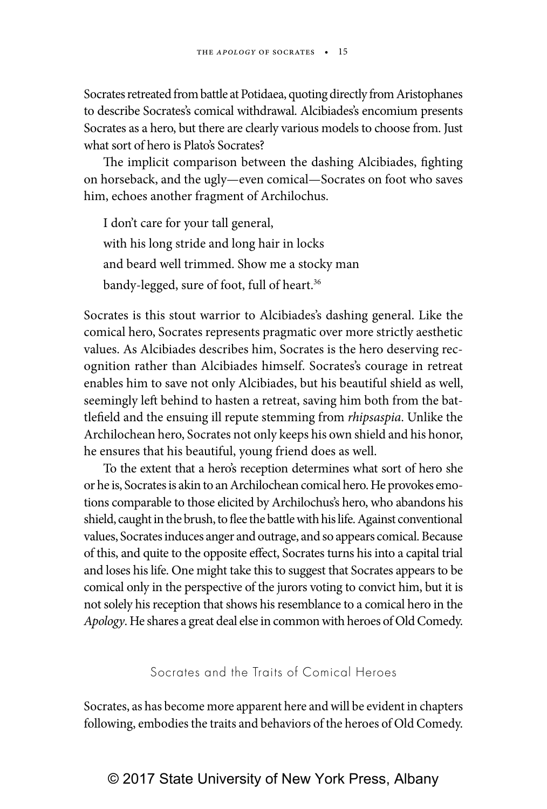Socrates retreated from battle at Potidaea, quoting directly from Aristophanes to describe Socrates's comical withdrawal. Alcibiades's encomium presents Socrates as a hero, but there are clearly various models to choose from. Just what sort of hero is Plato's Socrates?

The implicit comparison between the dashing Alcibiades, fighting on horseback, and the ugly—even comical—Socrates on foot who saves him, echoes another fragment of Archilochus.

I don't care for your tall general, with his long stride and long hair in locks and beard well trimmed. Show me a stocky man bandy-legged, sure of foot, full of heart.<sup>36</sup>

Socrates is this stout warrior to Alcibiades's dashing general. Like the comical hero, Socrates represents pragmatic over more strictly aesthetic values. As Alcibiades describes him, Socrates is the hero deserving recognition rather than Alcibiades himself. Socrates's courage in retreat enables him to save not only Alcibiades, but his beautiful shield as well, seemingly left behind to hasten a retreat, saving him both from the battlefield and the ensuing ill repute stemming from *rhipsaspia*. Unlike the Archilochean hero, Socrates not only keeps his own shield and his honor, he ensures that his beautiful, young friend does as well.

To the extent that a hero's reception determines what sort of hero she or he is, Socrates is akin to an Archilochean comical hero. He provokes emotions comparable to those elicited by Archilochus's hero, who abandons his shield, caught in the brush, to flee the battle with his life. Against conventional values, Socrates induces anger and outrage, and so appears comical. Because of this, and quite to the opposite effect, Socrates turns his into a capital trial and loses his life. One might take this to suggest that Socrates appears to be comical only in the perspective of the jurors voting to convict him, but it is not solely his reception that shows his resemblance to a comical hero in the *Apology*. He shares a great deal else in common with heroes of Old Comedy.

Socrates and the Traits of Comical Heroes

Socrates, as has become more apparent here and will be evident in chapters following, embodies the traits and behaviors of the heroes of Old Comedy.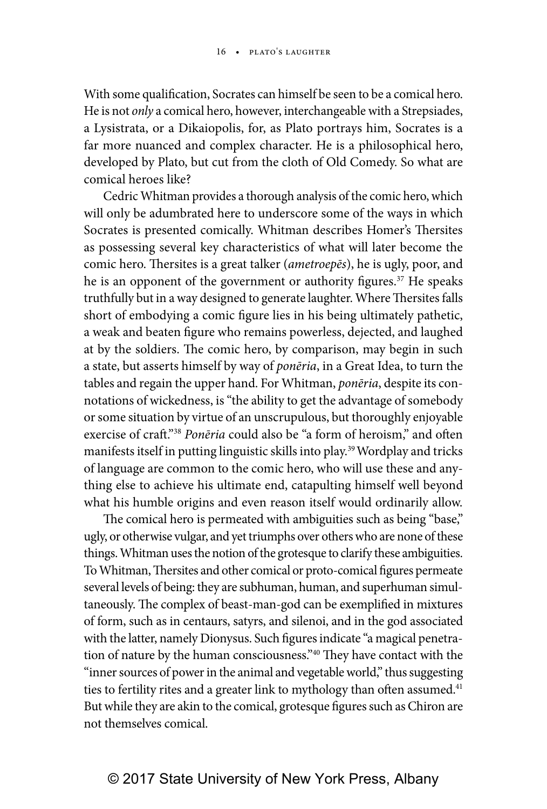With some qualification, Socrates can himself be seen to be a comical hero. He is not *only* a comical hero, however, interchangeable with a Strepsiades, a Lysistrata, or a Dikaiopolis, for, as Plato portrays him, Socrates is a far more nuanced and complex character. He is a philosophical hero, developed by Plato, but cut from the cloth of Old Comedy. So what are comical heroes like?

Cedric Whitman provides a thorough analysis of the comic hero, which will only be adumbrated here to underscore some of the ways in which Socrates is presented comically. Whitman describes Homer's Thersites as possessing several key characteristics of what will later become the comic hero. Thersites is a great talker (*ametroepēs*), he is ugly, poor, and he is an opponent of the government or authority figures.<sup>37</sup> He speaks truthfully but in a way designed to generate laughter. Where Thersites falls short of embodying a comic figure lies in his being ultimately pathetic, a weak and beaten figure who remains powerless, dejected, and laughed at by the soldiers. The comic hero, by comparison, may begin in such a state, but asserts himself by way of *ponēria*, in a Great Idea, to turn the tables and regain the upper hand. For Whitman, *ponēria*, despite its connotations of wickedness, is "the ability to get the advantage of somebody or some situation by virtue of an unscrupulous, but thoroughly enjoyable exercise of craft."38 *Ponēria* could also be "a form of heroism," and often manifests itself in putting linguistic skills into play.39 Wordplay and tricks of language are common to the comic hero, who will use these and anything else to achieve his ultimate end, catapulting himself well beyond what his humble origins and even reason itself would ordinarily allow.

The comical hero is permeated with ambiguities such as being "base," ugly, or otherwise vulgar, and yet triumphs over others who are none of these things. Whitman uses the notion of the grotesque to clarify these ambiguities. To Whitman, Thersites and other comical or proto-comical figures permeate several levels of being: they are subhuman, human, and superhuman simultaneously. The complex of beast-man-god can be exemplified in mixtures of form, such as in centaurs, satyrs, and silenoi, and in the god associated with the latter, namely Dionysus. Such figures indicate "a magical penetration of nature by the human consciousness."40 They have contact with the "inner sources of power in the animal and vegetable world," thus suggesting ties to fertility rites and a greater link to mythology than often assumed.<sup>41</sup> But while they are akin to the comical, grotesque figures such as Chiron are not themselves comical.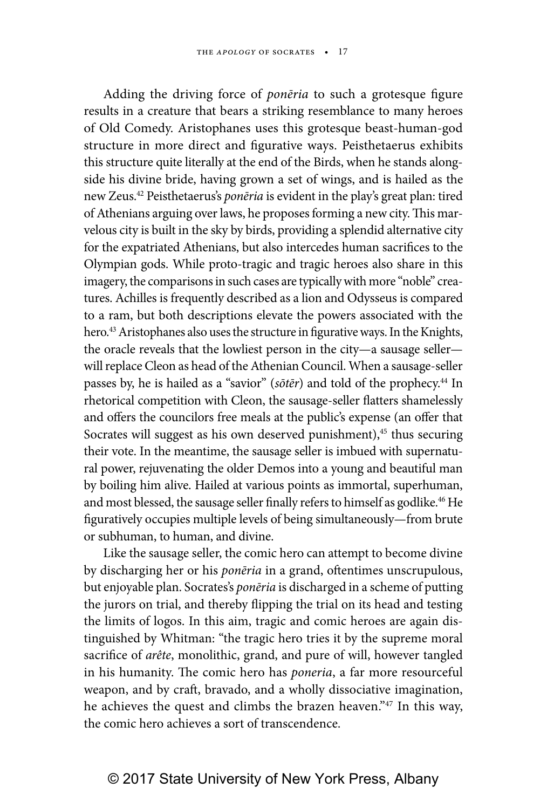Adding the driving force of *ponēria* to such a grotesque figure results in a creature that bears a striking resemblance to many heroes of Old Comedy. Aristophanes uses this grotesque beast-human-god structure in more direct and figurative ways. Peisthetaerus exhibits this structure quite literally at the end of the Birds, when he stands alongside his divine bride, having grown a set of wings, and is hailed as the new Zeus.42 Peisthetaerus's *ponēria* is evident in the play's great plan: tired of Athenians arguing over laws, he proposes forming a new city. This marvelous city is built in the sky by birds, providing a splendid alternative city for the expatriated Athenians, but also intercedes human sacrifices to the Olympian gods. While proto-tragic and tragic heroes also share in this imagery, the comparisons in such cases are typically with more "noble" creatures. Achilles is frequently described as a lion and Odysseus is compared to a ram, but both descriptions elevate the powers associated with the hero.<sup>43</sup> Aristophanes also uses the structure in figurative ways. In the Knights, the oracle reveals that the lowliest person in the city—a sausage seller will replace Cleon as head of the Athenian Council. When a sausage-seller passes by, he is hailed as a "savior" (*sōtēr*) and told of the prophecy.44 In rhetorical competition with Cleon, the sausage-seller flatters shamelessly and offers the councilors free meals at the public's expense (an offer that Socrates will suggest as his own deserved punishment), $45$  thus securing their vote. In the meantime, the sausage seller is imbued with supernatural power, rejuvenating the older Demos into a young and beautiful man by boiling him alive. Hailed at various points as immortal, superhuman, and most blessed, the sausage seller finally refers to himself as godlike.<sup>46</sup> He figuratively occupies multiple levels of being simultaneously—from brute or subhuman, to human, and divine.

Like the sausage seller, the comic hero can attempt to become divine by discharging her or his *ponēria* in a grand, oftentimes unscrupulous, but enjoyable plan. Socrates's *ponēria* is discharged in a scheme of putting the jurors on trial, and thereby flipping the trial on its head and testing the limits of logos. In this aim, tragic and comic heroes are again distinguished by Whitman: "the tragic hero tries it by the supreme moral sacrifice of *arête*, monolithic, grand, and pure of will, however tangled in his humanity. The comic hero has *poneria*, a far more resourceful weapon, and by craft, bravado, and a wholly dissociative imagination, he achieves the quest and climbs the brazen heaven."47 In this way, the comic hero achieves a sort of transcendence.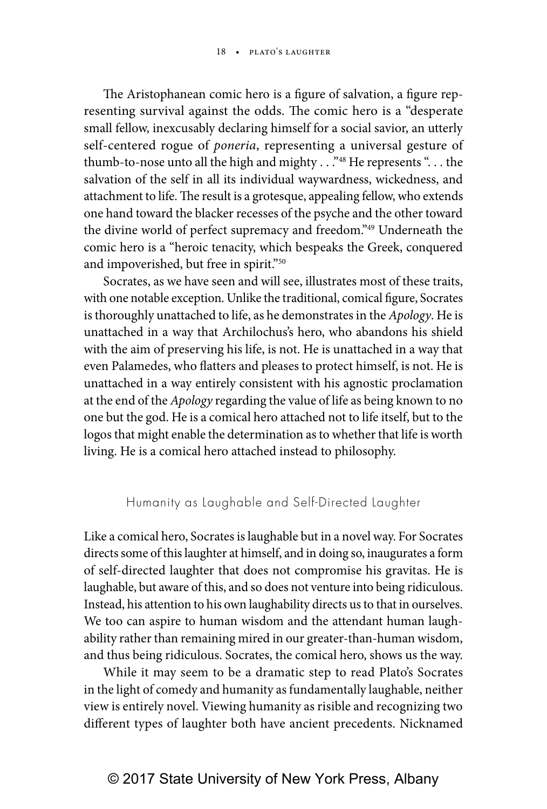The Aristophanean comic hero is a figure of salvation, a figure representing survival against the odds. The comic hero is a "desperate small fellow, inexcusably declaring himself for a social savior, an utterly self-centered rogue of *poneria*, representing a universal gesture of thumb-to-nose unto all the high and mighty . . . "<sup>48</sup> He represents ". . . the salvation of the self in all its individual waywardness, wickedness, and attachment to life. The result is a grotesque, appealing fellow, who extends one hand toward the blacker recesses of the psyche and the other toward the divine world of perfect supremacy and freedom."49 Underneath the comic hero is a "heroic tenacity, which bespeaks the Greek, conquered and impoverished, but free in spirit."50

Socrates, as we have seen and will see, illustrates most of these traits, with one notable exception. Unlike the traditional, comical figure, Socrates is thoroughly unattached to life, as he demonstrates in the *Apology*. He is unattached in a way that Archilochus's hero, who abandons his shield with the aim of preserving his life, is not. He is unattached in a way that even Palamedes, who flatters and pleases to protect himself, is not. He is unattached in a way entirely consistent with his agnostic proclamation at the end of the *Apology* regarding the value of life as being known to no one but the god. He is a comical hero attached not to life itself, but to the logos that might enable the determination as to whether that life is worth living. He is a comical hero attached instead to philosophy.

#### Humanity as Laughable and Self-Directed Laughter

Like a comical hero, Socrates is laughable but in a novel way. For Socrates directs some of this laughter at himself, and in doing so, inaugurates a form of self-directed laughter that does not compromise his gravitas. He is laughable, but aware of this, and so does not venture into being ridiculous. Instead, his attention to his own laughability directs us to that in ourselves. We too can aspire to human wisdom and the attendant human laughability rather than remaining mired in our greater-than-human wisdom, and thus being ridiculous. Socrates, the comical hero, shows us the way.

While it may seem to be a dramatic step to read Plato's Socrates in the light of comedy and humanity as fundamentally laughable, neither view is entirely novel. Viewing humanity as risible and recognizing two different types of laughter both have ancient precedents. Nicknamed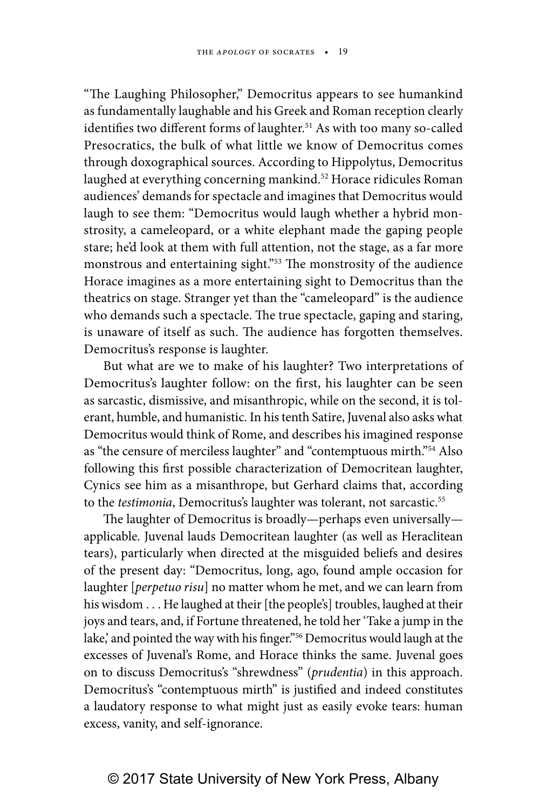"The Laughing Philosopher," Democritus appears to see humankind as fundamentally laughable and his Greek and Roman reception clearly identifies two different forms of laughter.<sup>51</sup> As with too many so-called Presocratics, the bulk of what little we know of Democritus comes through doxographical sources. According to Hippolytus, Democritus laughed at everything concerning mankind.<sup>52</sup> Horace ridicules Roman audiences' demands for spectacle and imagines that Democritus would laugh to see them: "Democritus would laugh whether a hybrid monstrosity, a cameleopard, or a white elephant made the gaping people stare; he'd look at them with full attention, not the stage, as a far more monstrous and entertaining sight."<sup>53</sup> The monstrosity of the audience Horace imagines as a more entertaining sight to Democritus than the theatrics on stage. Stranger yet than the "cameleopard" is the audience who demands such a spectacle. The true spectacle, gaping and staring, is unaware of itself as such. The audience has forgotten themselves. Democritus's response is laughter.

But what are we to make of his laughter? Two interpretations of Democritus's laughter follow: on the first, his laughter can be seen as sarcastic, dismissive, and misanthropic, while on the second, it is tolerant, humble, and humanistic. In his tenth Satire, Juvenal also asks what Democritus would think of Rome, and describes his imagined response as "the censure of merciless laughter" and "contemptuous mirth."54 Also following this first possible characterization of Democritean laughter, Cynics see him as a misanthrope, but Gerhard claims that, according to the *testimonia*, Democritus's laughter was tolerant, not sarcastic.<sup>55</sup>

The laughter of Democritus is broadly—perhaps even universally applicable. Juvenal lauds Democritean laughter (as well as Heraclitean tears), particularly when directed at the misguided beliefs and desires of the present day: "Democritus, long, ago, found ample occasion for laughter [*perpetuo risu*] no matter whom he met, and we can learn from his wisdom . . . He laughed at their [the people's] troubles, laughed at their joys and tears, and, if Fortune threatened, he told her 'Take a jump in the lake,' and pointed the way with his finger."<sup>56</sup> Democritus would laugh at the excesses of Juvenal's Rome, and Horace thinks the same. Juvenal goes on to discuss Democritus's "shrewdness" (*prudentia*) in this approach. Democritus's "contemptuous mirth" is justified and indeed constitutes a laudatory response to what might just as easily evoke tears: human excess, vanity, and self-ignorance.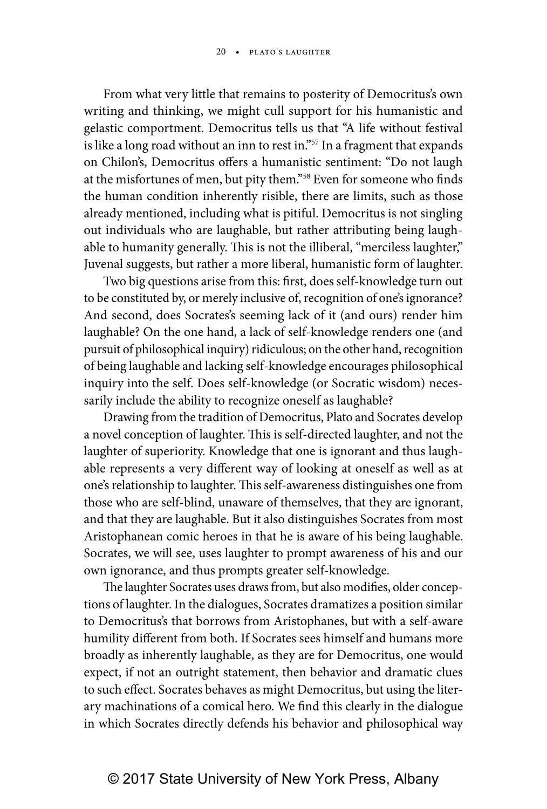From what very little that remains to posterity of Democritus's own writing and thinking, we might cull support for his humanistic and gelastic comportment. Democritus tells us that "A life without festival is like a long road without an inn to rest in."<sup>57</sup> In a fragment that expands on Chilon's, Democritus offers a humanistic sentiment: "Do not laugh at the misfortunes of men, but pity them."58 Even for someone who finds the human condition inherently risible, there are limits, such as those already mentioned, including what is pitiful. Democritus is not singling out individuals who are laughable, but rather attributing being laughable to humanity generally. This is not the illiberal, "merciless laughter," Juvenal suggests, but rather a more liberal, humanistic form of laughter.

Two big questions arise from this: first, does self-knowledge turn out to be constituted by, or merely inclusive of, recognition of one's ignorance? And second, does Socrates's seeming lack of it (and ours) render him laughable? On the one hand, a lack of self-knowledge renders one (and pursuit of philosophical inquiry) ridiculous; on the other hand, recognition of being laughable and lacking self-knowledge encourages philosophical inquiry into the self. Does self-knowledge (or Socratic wisdom) necessarily include the ability to recognize oneself as laughable?

Drawing from the tradition of Democritus, Plato and Socrates develop a novel conception of laughter. This is self-directed laughter, and not the laughter of superiority. Knowledge that one is ignorant and thus laughable represents a very different way of looking at oneself as well as at one's relationship to laughter. This self-awareness distinguishes one from those who are self-blind, unaware of themselves, that they are ignorant, and that they are laughable. But it also distinguishes Socrates from most Aristophanean comic heroes in that he is aware of his being laughable. Socrates, we will see, uses laughter to prompt awareness of his and our own ignorance, and thus prompts greater self-knowledge.

The laughter Socrates uses draws from, but also modifies, older conceptions of laughter. In the dialogues, Socrates dramatizes a position similar to Democritus's that borrows from Aristophanes, but with a self-aware humility different from both. If Socrates sees himself and humans more broadly as inherently laughable, as they are for Democritus, one would expect, if not an outright statement, then behavior and dramatic clues to such effect. Socrates behaves as might Democritus, but using the literary machinations of a comical hero. We find this clearly in the dialogue in which Socrates directly defends his behavior and philosophical way